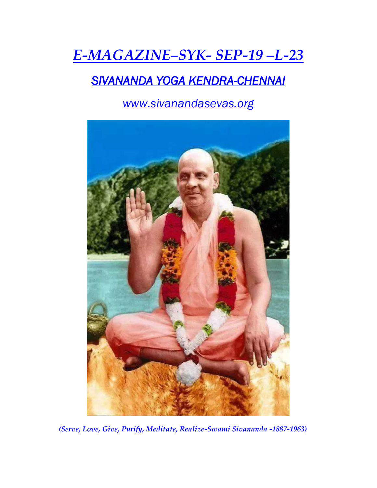# *E-MAGAZINE–SYK- SEP-19 –L-23*

## *SIVANANDA YOGA KENDRA-CHENNAI*

*www.sivanandasevas.org*



*(Serve, Love, Give, Purify, Meditate, Realize-Swami Sivananda -1887-1963)*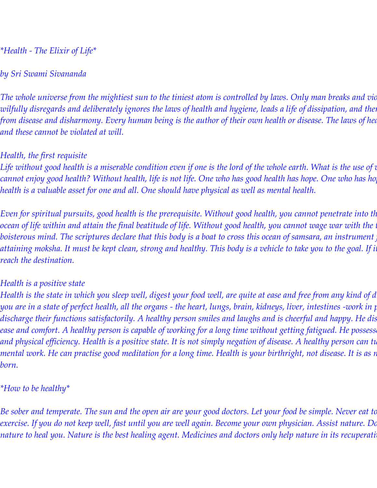#### *\*Health - The Elixir of Life\**

#### *by Sri Swami Sivananda*

*The whole universe from the mightiest sun to the tiniest atom is controlled by laws. Only man breaks and vic wilfully disregards and deliberately ignores the laws of health and hygiene, leads a life of dissipation, and then wonders why he suffers from disease and disharmony. Every human being is the author of their own health or disease. The laws of health are the laws of nature, and these cannot be violated at will.*

#### *Health, the first requisite*

Life without good health is a miserable condition even if one is the lord of the whole earth. What is the use of <mark>t</mark> cannot enjoy good health? Without health, life is not life. One who has good health has hope. One who has ho *health is a valuable asset for one and all. One should have physical as well as mental health.*

*Even for spiritual pursuits, good health is the prerequisite. Without good health, you cannot penetrate into th ocean of life within and attain the final beatitude of life. Without good health, you cannot wage war with the turbulent senses and*  boisterous mind. The scriptures declare that this body is a boat to cross this ocean of samsara, an instrument attaining moksha. It must be kept clean, strong and healthy. This body is a vehicle to take you to the goal. If i *reach the destination.*

#### *Health is a positive state*

*Health is the state in which you sleep well, digest your food well, are quite at ease and free from any kind of disease or uneasiness. When you are in a state of perfect health, all the organs - the heart, lungs, brain, kidneys, liver, intestines -work in perfect harmony and*  discharge their functions satisfactorily. A healthy person smiles and laughs and is cheerful and happy. He dis ease and comfort. A healthy person is capable of working for a long time without getting fatigued. He possess and physical efficiency. Health is a positive state. It is not simply negation of disease. A healthy person can ti  $\,$  mental work. He can practise good meditation for a long time. Health is your birthright, not disease. It is as  $\,$ *born.*

#### *\*How to be healthy\**

*Be sober and temperate. The sun and the open air are your good doctors. Let your food be simple. Never eat to exercise. If you do not keep well, fast until you are well again. Become your own physician. Assist nature. Do not force nature. Allow nature to heal you. Nature is the best healing agent. Medicines and doctors only help nature in its recuperative work. By drinking pure*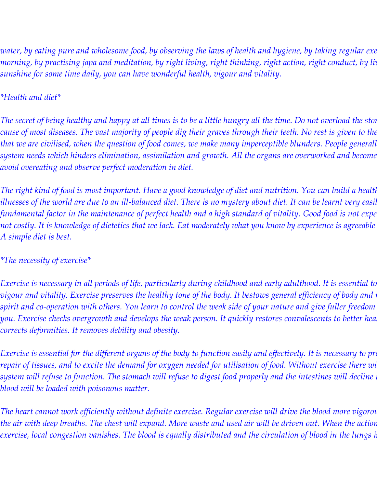*water, by eating pure and wholesome food, by observing the laws of health and hygiene, by taking regular exercise and cold baths in the morning, by practising japa and meditation, by right living, right thinking, right action, right conduct, by living in the open air and sunshine for some time daily, you can have wonderful health, vigour and vitality.*

#### *\*Health and diet\**

The secret of being healthy and happy at all times is to be a little hungry all the time. Do not overload the stor cause of most diseases. The vast majority of people dig their graves through their teeth. No rest is given to the *that we are civilised, when the question of food comes, we make many imperceptible blunders. People generall system needs which hinders elimination, assimilation and growth. All the organs are overworked and become diseased quickly. Hence, avoid overeating and observe perfect moderation in diet.*

*The right kind of food is most important. Have a good knowledge of diet and nutrition. You can build a health illnesses of the world are due to an ill-balanced diet. There is no mystery about diet. It can be learnt very easily. A correct diet is a*  fundamental factor in the maintenance of perfect health and a high standard of vitality. Good food is not expe *not costly. It is knowledge of dietetics that we lack. Eat moderately what you know by experience is agreeable to you and what is digestible. A simple diet is best.*

#### *\*The necessity of exercise\**

*Exercise is necessary in all periods of life, particularly during childhood and early adulthood. It is essential to vigour and vitality. Exercise preserves the healthy tone of the body. It bestows general efficiency of body and i*  $s$ pirit and co-operation with others. You learn to control the weak side of your nature and give fuller freedom *you. Exercise checks overgrowth and develops the weak person. It quickly restores convalescents to better health. During growth it corrects deformities. It removes debility and obesity.*

*Exercise is essential for the different organs of the body to function easily and effectively. It is necessary to pro repair of tissues, and to excite the demand for oxygen needed for utilisation of food. Without exercise there will be no health. The whole system will refuse to function. The stomach will refuse to digest food properly and the intestines will decline blood will be loaded with poisonous matter.*

*The heart cannot work efficiently without definite exercise. Regular exercise will drive the blood more vigorou* the air with deep breaths. The chest will expand. More waste and used air will be driven out. When the actior *exercise, local congestion vanishes. The blood is equally distributed and the circulation of blood in the lungs i*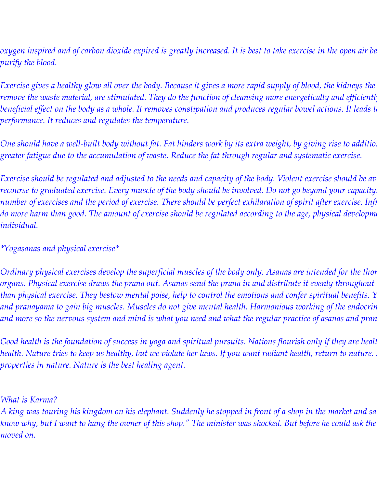$oxygen$  inspired and of carbon dioxide expired is greatly increased. It is best to take exercise in the open air be *purify the blood.*

*Exercise gives a healthy glow all over the body. Because it gives a more rapid supply of blood, the kidneys the remove the waste material, are stimulated. They do the function of cleansing more energetically and efficientl*  $b$ eneficial effect on the body as a whole. It removes constipation and produces regular bowel actions. It leads t *performance. It reduces and regulates the temperature.*

One should have a well-built body without fat. Fat hinders work by its extra weight, by giving rise to additio *greater fatigue due to the accumulation of waste. Reduce the fat through regular and systematic exercise.*

*Exercise should be regulated and adjusted to the needs and capacity of the body. Violent exercise should be av recourse to graduated exercise. Every muscle of the body should be involved. Do not go beyond your capacity. If there is fatigue, reduce the number of exercises and the period of exercise. There should be perfect exhilaration of spirit after exercise. Infi* do more harm than good. The amount of exercise should be regulated according to the age, physical developm *individual.*

*\*Yogasanas and physical exercise\**

*Ordinary physical exercises develop the superficial muscles of the body only. Asanas are intended for the thor organs. Physical exercise draws the prana out. Asanas send the prana in and distribute it evenly throughout* than physical exercise. They bestow mental poise, help to control the emotions and confer spiritual benefits. Y *and pranayama to gain big muscles. Muscles do not give mental health. Harmonious working of the endocrine glands and internal organs,*  and more so the nervous system and mind is what you need and what the regular practice of asanas and pran

*Good health is the foundation of success in yoga and spiritual pursuits. Nations flourish only if they are healt health. Nature tries to keep us healthy, but we violate her laws. If you want radiant health, return to nature. Avail yourself of the healing properties in nature. Nature is the best healing agent.*

*What is Karma?*

*A king was touring his kingdom on his elephant. Suddenly he stopped in front of a shop in the market and said to his minister, "I don't know why, but I want to hang the owner of this shop." The minister was shocked. But before he could ask the king why, the king had moved on.*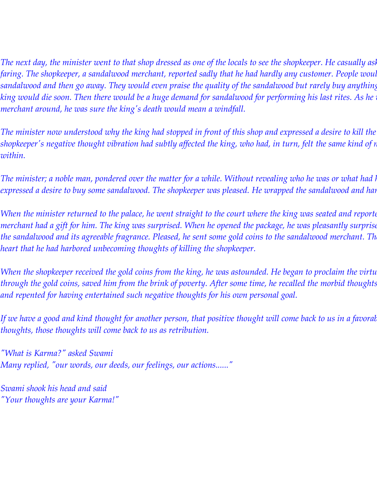*The next day, the minister went to that shop dressed as one of the locals to see the shopkeeper. He casually asked him how how here as all how how here as all y asked him how him how him how him how him how him how him ho faring. The shopkeeper, a sandalwood merchant, reported sadly that he had hardly any customer. People would come to his shop, smell the sandalwood and then go away. They would even praise the quality of the sandalwood but rarely buy anything. His only hope was that the*  king would die soon. Then there would be a huge demand for sandalwood for performing his last rites. As he *was the merchant around, he was sure the king's death would mean a windfall.*

*The minister now understood why the king had stopped in front of this shop and expressed a desire to kill the shopkeeper's negative thought vibration had subtly affected the king, who had, in turn, felt the same kind of negative thought arising within.*

*The minister; a noble man, pondered over the matter for a while. Without revealing who he was or what had l expressed a desire to buy some sandalwood. The shopkeeper was pleased. He wrapped the sandalwood and han* 

*When the minister returned to the palace, he went straight to the court where the king was seated and reporte merchant had a gift for him. The king was surprised. When he opened the package, he was pleasantly surprise* the sandalwood and its agreeable fragrance. Pleased, he sent some gold coins to the sandalwood merchant. Th *heart that he had harbored unbecoming thoughts of killing the shopkeeper.*

*When the shopkeeper received the gold coins from the king, he was astounded. He began to proclaim the virtu* through the gold coins, saved him from the brink of poverty. After some time, he recalled the morbid thoughts *and repented for having entertained such negative thoughts for his own personal goal.*

If we have a good and kind thought for another person, that positive thought will come back to us in a favoral *thoughts, those thoughts will come back to us as retribution.*

*"What is Karma?" asked Swami Many replied, "our words, our deeds, our feelings, our actions......"*

*Swami shook his head and said "Your thoughts are your Karma!"*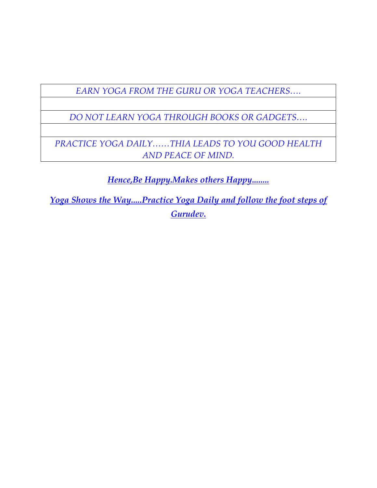*EARN YOGA FROM THE GURU OR YOGA TEACHERS….*

*DO NOT LEARN YOGA THROUGH BOOKS OR GADGETS….*

*PRACTICE YOGA DAILY……THIA LEADS TO YOU GOOD HEALTH AND PEACE OF MIND.*

*Hence,Be Happy.Makes others Happy........*

*Yoga Shows the Way.....Practice Yoga Daily and follow the foot steps of Gurudev.*